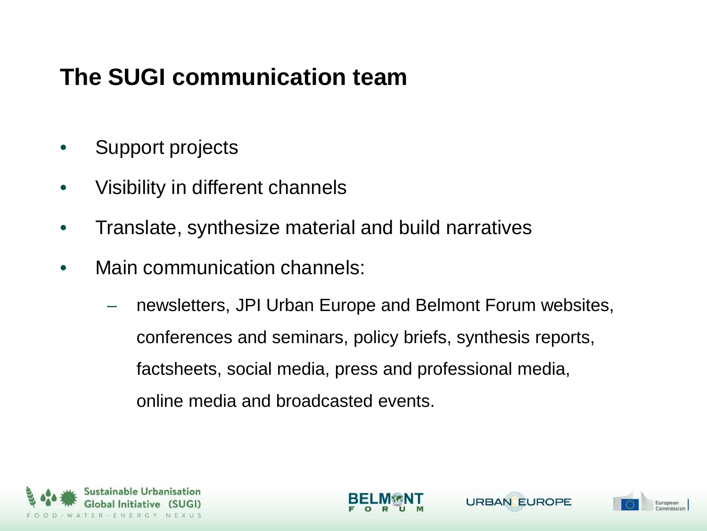# **The SUGI communication team**

- Support projects
- Visibility in different channels
- Translate, synthesize material and build narratives
- Main communication channels:
	- newsletters, JPI Urban Europe and Belmont Forum websites, conferences and seminars, policy briefs, synthesis reports, factsheets, social media, press and professional media, online media and broadcasted events.





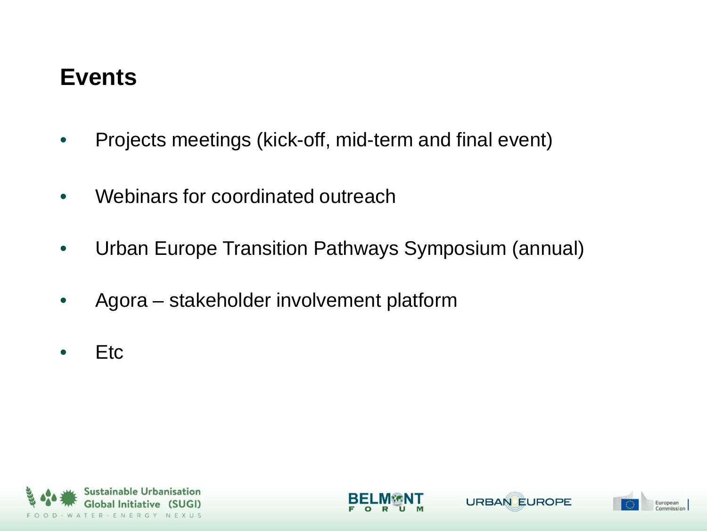## **Events**

- Projects meetings (kick-off, mid-term and final event)
- Webinars for coordinated outreach
- Urban Europe Transition Pathways Symposium (annual)
- Agora stakeholder involvement platform
- Etc





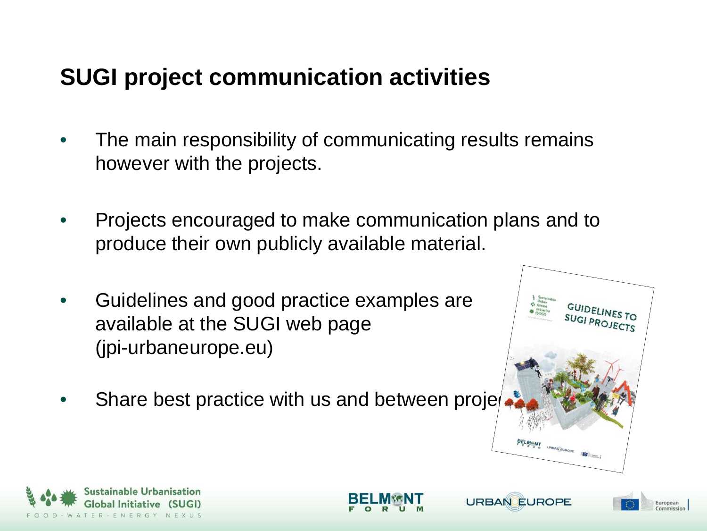# **SUGI project communication activities**

- The main responsibility of communicating results remains however with the projects.
- Projects encouraged to make communication plans and to produce their own publicly available material.
- Guidelines and good practice examples are available at the SUGI web page (jpi-urbaneurope.eu)
- Share best practice with us and between proje



European

**URBAN EUROPE** 



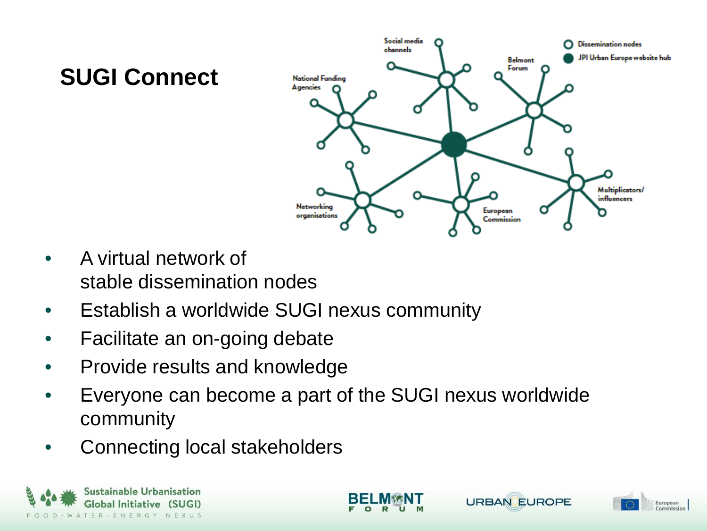## **SUGI Connect**



- A virtual network of stable dissemination nodes
- Establish a worldwide SUGI nexus community
- Facilitate an on-going debate
- Provide results and knowledge
- Everyone can become a part of the SUGI nexus worldwide community
- Connecting local stakeholders





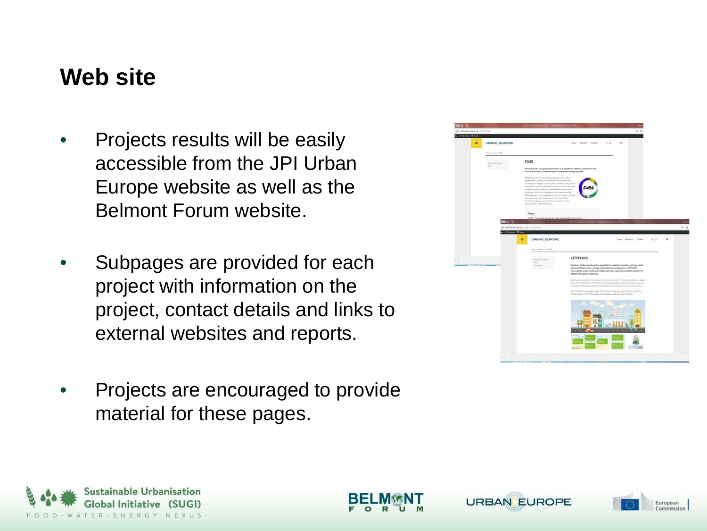## **Web site**

- Projects results will be easily accessible from the JPI Urban Europe website as well as the Belmont Forum website.
- Subpages are provided for each project with information on the project, contact details and links to external websites and reports.
- Projects are encouraged to provide material for these pages.







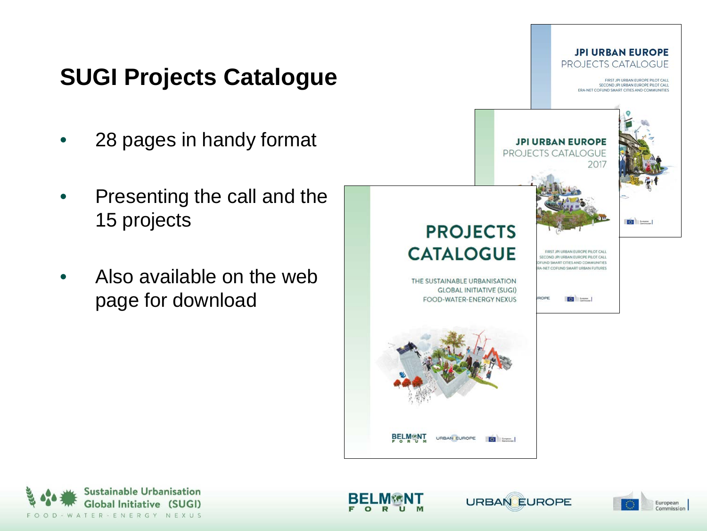# **SUGI Projects Catalogue**

- 28 pages in handy format
- Presenting the call and the 15 projects
- Also available on the web page for download







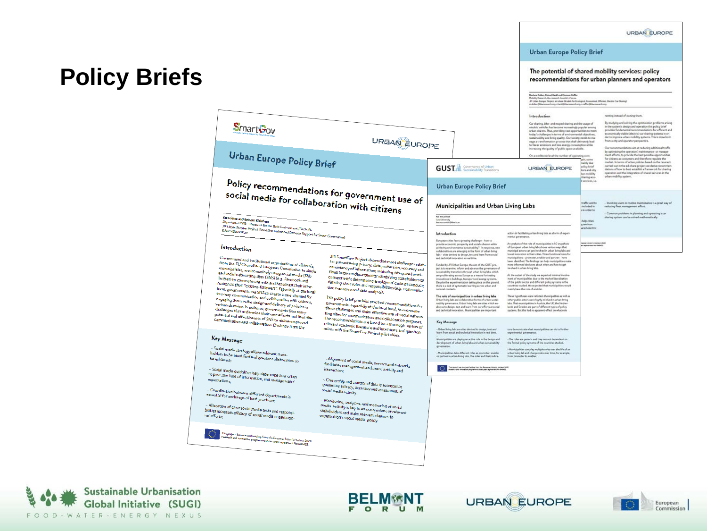#### URBAN EUROPE

#### Urban Europe Policy Brief

-<br>Marlene Dalber, Robert Hackl and Chemera Raffler<br>Mushing Heasenh, the massivile Gearstel, Vienna.<br>JPI Urban Europe; Project: ed-share Ol point; for Eco

The potential of shared mobility services: policy recommendations for urban planners and operators

### **Policy Briefs**

| <b>SmartGov</b><br><b>URBAN EUROPE</b>                                                                                                                                                                                                                                                                                                                                                                                                                                                                                                                                                                                                                                                                                                                                                                     |                                                                                                                                                                                                                                                                                                                                                                                                                                                                                                                                                                                                                                                                                                                                                                                                                           |                                                                                                                                                                                                                                                                                                                                                                                                                                                                                                                                                                                                                                                                                                                                                                                                                                                                                                                                                                                                                                                                                                                                                                                                  | <b>MAG</b>                                                                                                                                                                                                                                                                                                                                                                                                                                                                                                                                                                                                                                                                                                                                                                                                                                                                                                                                                                                                                                                                      | JPI Urban Europe: Project: ed-share Ollodels for Ecological, Economical, Efficient, Electric Car-Shanng)<br>mácher@davrensurch.org.chack@theressurch.org.c.nd%v@davrensurch.org |                                                                                                                                                                                                                                                                                                                                                                                                                                              |  |
|------------------------------------------------------------------------------------------------------------------------------------------------------------------------------------------------------------------------------------------------------------------------------------------------------------------------------------------------------------------------------------------------------------------------------------------------------------------------------------------------------------------------------------------------------------------------------------------------------------------------------------------------------------------------------------------------------------------------------------------------------------------------------------------------------------|---------------------------------------------------------------------------------------------------------------------------------------------------------------------------------------------------------------------------------------------------------------------------------------------------------------------------------------------------------------------------------------------------------------------------------------------------------------------------------------------------------------------------------------------------------------------------------------------------------------------------------------------------------------------------------------------------------------------------------------------------------------------------------------------------------------------------|--------------------------------------------------------------------------------------------------------------------------------------------------------------------------------------------------------------------------------------------------------------------------------------------------------------------------------------------------------------------------------------------------------------------------------------------------------------------------------------------------------------------------------------------------------------------------------------------------------------------------------------------------------------------------------------------------------------------------------------------------------------------------------------------------------------------------------------------------------------------------------------------------------------------------------------------------------------------------------------------------------------------------------------------------------------------------------------------------------------------------------------------------------------------------------------------------|---------------------------------------------------------------------------------------------------------------------------------------------------------------------------------------------------------------------------------------------------------------------------------------------------------------------------------------------------------------------------------------------------------------------------------------------------------------------------------------------------------------------------------------------------------------------------------------------------------------------------------------------------------------------------------------------------------------------------------------------------------------------------------------------------------------------------------------------------------------------------------------------------------------------------------------------------------------------------------------------------------------------------------------------------------------------------------|---------------------------------------------------------------------------------------------------------------------------------------------------------------------------------|----------------------------------------------------------------------------------------------------------------------------------------------------------------------------------------------------------------------------------------------------------------------------------------------------------------------------------------------------------------------------------------------------------------------------------------------|--|
|                                                                                                                                                                                                                                                                                                                                                                                                                                                                                                                                                                                                                                                                                                                                                                                                            |                                                                                                                                                                                                                                                                                                                                                                                                                                                                                                                                                                                                                                                                                                                                                                                                                           |                                                                                                                                                                                                                                                                                                                                                                                                                                                                                                                                                                                                                                                                                                                                                                                                                                                                                                                                                                                                                                                                                                                                                                                                  | <b>Introduction</b><br>Car sharing, bike- and moped sharing and the usage of<br>electric vehicles has become increasingly popular among<br>urban citizens. Thus, providing vast opportunities to meet<br>Inda-'s challenges in terms of environmental objectives.<br>sustainability and Iving quality. Our society needs to ma-<br>nage a transformation process that shall ultimately lead<br>to fewer emissions and less energy consumption while<br>increasing the quality of public space available.                                                                                                                                                                                                                                                                                                                                                                                                                                                                                                                                                                        |                                                                                                                                                                                 | renting instead of owning them.<br>By studying and solving the optimization problems arising<br>in the system's design and operation this policy brief<br>provides fundamental recommendations for efficient and<br>economically viable (electric) car sharing systems in on-<br>der to improve urban mobility systems. This is done both<br>from a city and coerator perspective.<br>Our recommendations aim at reducing additional traffic |  |
| <b>Urban Europe Policy Brief</b>                                                                                                                                                                                                                                                                                                                                                                                                                                                                                                                                                                                                                                                                                                                                                                           |                                                                                                                                                                                                                                                                                                                                                                                                                                                                                                                                                                                                                                                                                                                                                                                                                           | <b>GUST Company of Urban</b>                                                                                                                                                                                                                                                                                                                                                                                                                                                                                                                                                                                                                                                                                                                                                                                                                                                                                                                                                                                                                                                                                                                                                                     | On a worldwide level the number of operating com-<br><b>URBAN EUROPE</b>                                                                                                                                                                                                                                                                                                                                                                                                                                                                                                                                                                                                                                                                                                                                                                                                                                                                                                                                                                                                        | <b>COL</b> Schedule<br>sainly due<br>olicy brief<br>tors and sity<br>n makilik                                                                                                  | by optimizing the operators' maintenance- or manage-<br>ment efforts, to provide the best possible opportunities<br>for citizens as costumers and therefore regulate the<br>market. In terms of urban policies based on the reserach<br>carried out in the ed-share project we derive recommen-<br>dations of how to best establish a framework for sharing<br>operators and the integration of shared services in the                       |  |
| Policy recommendations for government use of<br>social media for collaboration with citizens<br>Ergo Falco and Reinout Kleinhans<br>Department OTB - Research for the Built Environment, TU Delft.                                                                                                                                                                                                                                                                                                                                                                                                                                                                                                                                                                                                         |                                                                                                                                                                                                                                                                                                                                                                                                                                                                                                                                                                                                                                                                                                                                                                                                                           | <b>Urban Europe Policy Brief</b>                                                                                                                                                                                                                                                                                                                                                                                                                                                                                                                                                                                                                                                                                                                                                                                                                                                                                                                                                                                                                                                                                                                                                                 |                                                                                                                                                                                                                                                                                                                                                                                                                                                                                                                                                                                                                                                                                                                                                                                                                                                                                                                                                                                                                                                                                 | haring eco-<br>ervices, Le                                                                                                                                                      | urban mobility system.                                                                                                                                                                                                                                                                                                                                                                                                                       |  |
|                                                                                                                                                                                                                                                                                                                                                                                                                                                                                                                                                                                                                                                                                                                                                                                                            |                                                                                                                                                                                                                                                                                                                                                                                                                                                                                                                                                                                                                                                                                                                                                                                                                           | Municipalities and Urban Living Labs                                                                                                                                                                                                                                                                                                                                                                                                                                                                                                                                                                                                                                                                                                                                                                                                                                                                                                                                                                                                                                                                                                                                                             |                                                                                                                                                                                                                                                                                                                                                                                                                                                                                                                                                                                                                                                                                                                                                                                                                                                                                                                                                                                                                                                                                 | raffic and to<br>shafed in<br>in arder to<br>elp cities<br>en de na<br>cad alactric                                                                                             | Involving users in routine maintenance is a great way of<br>reducing fleet management effort.<br>Converse problems in planning and operating a car<br>sharing system can be solved mathematically.                                                                                                                                                                                                                                           |  |
|                                                                                                                                                                                                                                                                                                                                                                                                                                                                                                                                                                                                                                                                                                                                                                                                            |                                                                                                                                                                                                                                                                                                                                                                                                                                                                                                                                                                                                                                                                                                                                                                                                                           | <b>Key McCormick</b><br>Louis Delegate                                                                                                                                                                                                                                                                                                                                                                                                                                                                                                                                                                                                                                                                                                                                                                                                                                                                                                                                                                                                                                                                                                                                                           |                                                                                                                                                                                                                                                                                                                                                                                                                                                                                                                                                                                                                                                                                                                                                                                                                                                                                                                                                                                                                                                                                 |                                                                                                                                                                                 |                                                                                                                                                                                                                                                                                                                                                                                                                                              |  |
| JPJ Urban Europe; Project: SmartGov (Advanced Decision Support for Smart Governance)                                                                                                                                                                                                                                                                                                                                                                                                                                                                                                                                                                                                                                                                                                                       |                                                                                                                                                                                                                                                                                                                                                                                                                                                                                                                                                                                                                                                                                                                                                                                                                           | Introduction<br>European cities face a pressing challenge - how to                                                                                                                                                                                                                                                                                                                                                                                                                                                                                                                                                                                                                                                                                                                                                                                                                                                                                                                                                                                                                                                                                                                               | actors in facilitating urban living labs as a form of expari-<br>mental governance.                                                                                                                                                                                                                                                                                                                                                                                                                                                                                                                                                                                                                                                                                                                                                                                                                                                                                                                                                                                             | jege ühers Horgor 2628<br>1 agentuari ha Galiath<br>An analysis of the role of municipalities in 50 snapshots                                                                   |                                                                                                                                                                                                                                                                                                                                                                                                                                              |  |
| Introduction<br>Government and institutional organizations at all levels,<br>from the EU Council and European Commission to single<br>municipalities, are increasingly using social media (SM)<br>and social networking sites (SNS) (e.g. Facebook and<br>Twitter) to communicate with and broadcast their infor-<br>mation to their "citizens-followers". Especially at the local<br>level, governments use SNS to create a new channel for<br>two-way communication and collaboration with citizens,<br>engaging them in the design and delivery of policies in<br>various domains. In doing so, governments face many<br>challenges that undermine their own efforts and limit the<br>potential and effectiveness of SNS to deliver improved<br>.<br>communication and collaboration. Evidence from the | JPI SmartGov Project shows that most challenges relate<br>to: guaranteeing privacy, data protection, accuracy and<br>consistency of information; achieving integrated work-<br>flows between departments; identifying stakeholders to<br>connect with; determining employees' code of conduct;<br>defining clear roles and responsibilities (e.g. communica-<br>tion managers and data analysts).<br>This policy brief provides practical recommendations for<br>governments, especially at the local level, to overcome<br>these challenges and make effective use of social networ-<br>king sites for communication and collaboration purposes.<br>The recommendations are based on a thorough review of<br>relevant academic literature and interviews and question-<br>naires with the SmartGov Project pilot cities. | provide economic prosperity and social cohesion while<br>achieving environmental sustainability? In response, new<br>collaborations are emerging in the Form of urban living<br>labs - situs deviced to design, test and learn from social<br>and tacherical innovation in real time.<br>Funded by JPI Urban Europe, the sim of the GUST pro-<br>ject is to examine, inform and advance the governance of<br>sustainability transitions through urban living labs, which<br>are proliferating across Europe as a means for testing<br>incustons in buildings, transport and energy systems.<br>Despite the experimentation taking place on the ground,<br>there is a lack of systematic learning across urban and<br>national contexts.<br>The role of municipalities in urban living labs<br>Urban living labs are collaborative forms of situes sestai-<br>rability governance. Urban living labs are sites which en-<br>able us to desire, test and learn from our efforts at social<br>and technical innovation. Municipalities are important<br><b>Key Message</b><br>- Urban living labs are sites devised to design, text and<br>learn from social and technical innovation in real time. | of European urban fixing labe shows various ways that<br>municipal actors can get involved in urban living labs and<br>boost innovation in their ottes. Three functional roles for<br>manicipalities - promoter, englise and partner- have<br>been identified. The findings can help municipalities make<br>more informed decisions about when and how to get<br>intestived in urban Bring fabs.<br>At the nature of the study we expected minimal involve-<br>ment of municipalities due to the market liberalization<br>of the public sector and different policy systems in the<br>countries studied. We expected that municipalities would<br>mainly have the role of enables.<br>These hypotheses were refuted. Municipalities as well as<br>other public actors were highly involved in urban living<br>labs. That municipalities in Austria, the UK, the Nether<br>lands and Sweden are part of different types of policy<br>systems. But this had no apparent effect on what role<br>tors demonstrate what municipalities can do to further<br>experimental governance. |                                                                                                                                                                                 |                                                                                                                                                                                                                                                                                                                                                                                                                                              |  |
| Key Message                                                                                                                                                                                                                                                                                                                                                                                                                                                                                                                                                                                                                                                                                                                                                                                                |                                                                                                                                                                                                                                                                                                                                                                                                                                                                                                                                                                                                                                                                                                                                                                                                                           | Municipalities are playing an active role in the design and<br>development of orban living labs and orban sustainability<br>governance                                                                                                                                                                                                                                                                                                                                                                                                                                                                                                                                                                                                                                                                                                                                                                                                                                                                                                                                                                                                                                                           | - The roles are generic and they are not dependent on<br>the formal policy systems of the countries studied.                                                                                                                                                                                                                                                                                                                                                                                                                                                                                                                                                                                                                                                                                                                                                                                                                                                                                                                                                                    |                                                                                                                                                                                 |                                                                                                                                                                                                                                                                                                                                                                                                                                              |  |
| - Social media strategy allows relevant stake-<br>holders to be identified and greater collaboration to<br>be achieved;<br>- Social media guidelines help determine how often                                                                                                                                                                                                                                                                                                                                                                                                                                                                                                                                                                                                                              | - Alignment of social media, servers and networks<br>facilitates management and users' activity and<br>interaction;                                                                                                                                                                                                                                                                                                                                                                                                                                                                                                                                                                                                                                                                                                       | Municipalities take different roles as promoter, enabler<br>or partner in urban Buing labs. The roles and their indica-<br>a pingant has lanariuse hunding from the Europage Union's injekson (dist<br>march and innovation programma uniter grant agreement his Soldet's                                                                                                                                                                                                                                                                                                                                                                                                                                                                                                                                                                                                                                                                                                                                                                                                                                                                                                                        | - Municipalities can play multiple roles over the life of an<br>urban living lab and change roles over time, for example,<br>from promoter to enabler.                                                                                                                                                                                                                                                                                                                                                                                                                                                                                                                                                                                                                                                                                                                                                                                                                                                                                                                          |                                                                                                                                                                                 |                                                                                                                                                                                                                                                                                                                                                                                                                                              |  |
| to post, the kind of information, and manage users'<br>- Coordination between different departments is<br>essential for exchange of best practices;<br>- Allocation of clear social media tasks and responsi-<br>bilities increases efficacy of social media organizatio-                                                                                                                                                                                                                                                                                                                                                                                                                                                                                                                                  | - Ownership and control of data is essential to<br>guarantee privacy, accuracy and assessment of<br>social media activity;<br>- Monitoring, analytics, and measuring of social<br>media activity is key to assess opinions of relevant<br>stakeholders and make relevant changes to<br>organization's social media policy.                                                                                                                                                                                                                                                                                                                                                                                                                                                                                                |                                                                                                                                                                                                                                                                                                                                                                                                                                                                                                                                                                                                                                                                                                                                                                                                                                                                                                                                                                                                                                                                                                                                                                                                  |                                                                                                                                                                                                                                                                                                                                                                                                                                                                                                                                                                                                                                                                                                                                                                                                                                                                                                                                                                                                                                                                                 |                                                                                                                                                                                 |                                                                                                                                                                                                                                                                                                                                                                                                                                              |  |
| This project has received funding from the European Union's Horizon 2020<br>merch and innovation programme under grant agreement No 646452                                                                                                                                                                                                                                                                                                                                                                                                                                                                                                                                                                                                                                                                 |                                                                                                                                                                                                                                                                                                                                                                                                                                                                                                                                                                                                                                                                                                                                                                                                                           |                                                                                                                                                                                                                                                                                                                                                                                                                                                                                                                                                                                                                                                                                                                                                                                                                                                                                                                                                                                                                                                                                                                                                                                                  |                                                                                                                                                                                                                                                                                                                                                                                                                                                                                                                                                                                                                                                                                                                                                                                                                                                                                                                                                                                                                                                                                 |                                                                                                                                                                                 |                                                                                                                                                                                                                                                                                                                                                                                                                                              |  |





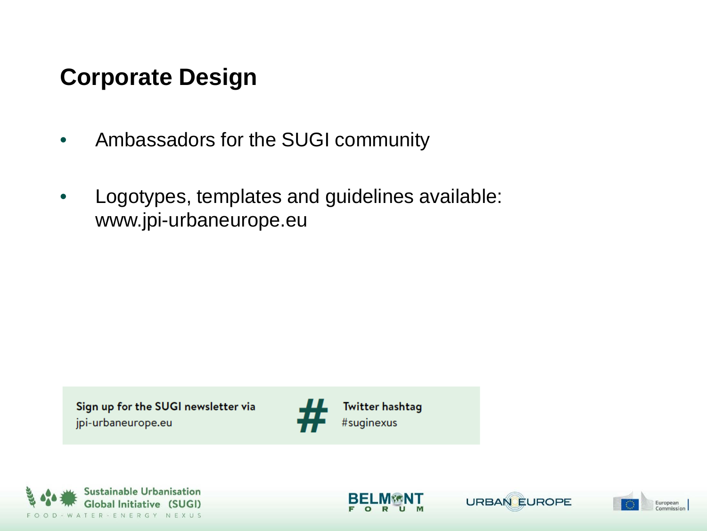# **Corporate Design**

- Ambassadors for the SUGI community
- Logotypes, templates and guidelines available: www.jpi-urbaneurope.eu

Sign up for the SUGI newsletter via jpi-urbaneurope.eu







**Twitter hashtag** 

URBAN EUROPE